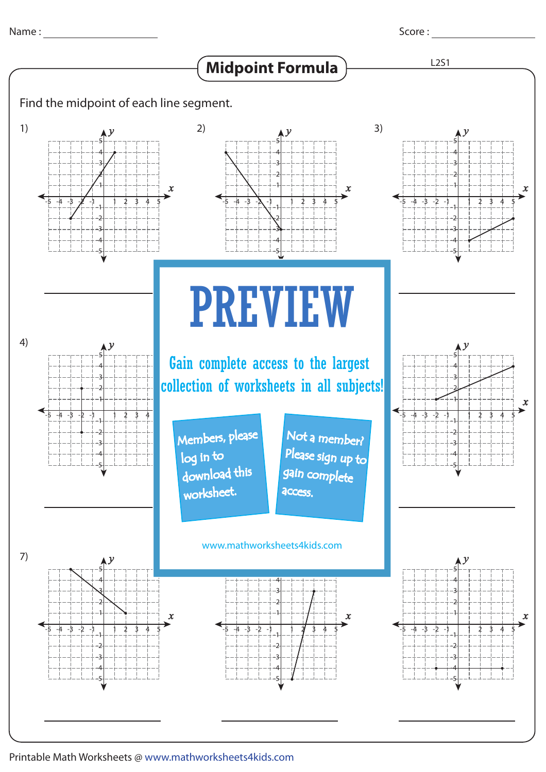